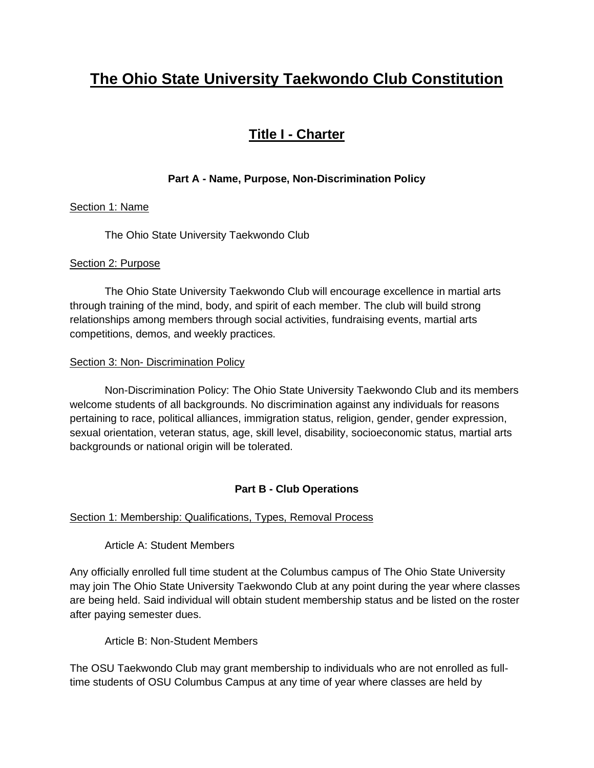# **The Ohio State University Taekwondo Club Constitution**

## **Title I - Charter**

### **Part A - Name, Purpose, Non-Discrimination Policy**

### Section 1: Name

The Ohio State University Taekwondo Club

### Section 2: Purpose

 The Ohio State University Taekwondo Club will encourage excellence in martial arts through training of the mind, body, and spirit of each member. The club will build strong relationships among members through social activities, fundraising events, martial arts competitions, demos, and weekly practices.

#### Section 3: Non- Discrimination Policy

 Non-Discrimination Policy: The Ohio State University Taekwondo Club and its members welcome students of all backgrounds. No discrimination against any individuals for reasons pertaining to race, political alliances, immigration status, religion, gender, gender expression, sexual orientation, veteran status, age, skill level, disability, socioeconomic status, martial arts backgrounds or national origin will be tolerated.

### **Part B - Club Operations**

### Section 1: Membership: Qualifications, Types, Removal Process

Article A: Student Members

Any officially enrolled full time student at the Columbus campus of The Ohio State University may join The Ohio State University Taekwondo Club at any point during the year where classes are being held. Said individual will obtain student membership status and be listed on the roster after paying semester dues.

Article B: Non-Student Members

The OSU Taekwondo Club may grant membership to individuals who are not enrolled as fulltime students of OSU Columbus Campus at any time of year where classes are held by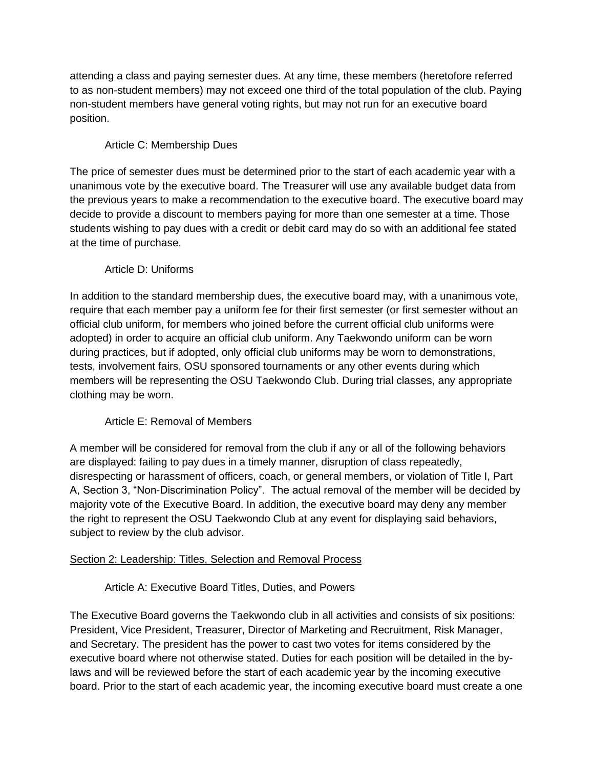attending a class and paying semester dues. At any time, these members (heretofore referred to as non-student members) may not exceed one third of the total population of the club. Paying non-student members have general voting rights, but may not run for an executive board position.

### Article C: Membership Dues

The price of semester dues must be determined prior to the start of each academic year with a unanimous vote by the executive board. The Treasurer will use any available budget data from the previous years to make a recommendation to the executive board. The executive board may decide to provide a discount to members paying for more than one semester at a time. Those students wishing to pay dues with a credit or debit card may do so with an additional fee stated at the time of purchase.

### Article D: Uniforms

In addition to the standard membership dues, the executive board may, with a unanimous vote, require that each member pay a uniform fee for their first semester (or first semester without an official club uniform, for members who joined before the current official club uniforms were adopted) in order to acquire an official club uniform. Any Taekwondo uniform can be worn during practices, but if adopted, only official club uniforms may be worn to demonstrations, tests, involvement fairs, OSU sponsored tournaments or any other events during which members will be representing the OSU Taekwondo Club. During trial classes, any appropriate clothing may be worn.

### Article E: Removal of Members

A member will be considered for removal from the club if any or all of the following behaviors are displayed: failing to pay dues in a timely manner, disruption of class repeatedly, disrespecting or harassment of officers, coach, or general members, or violation of Title I, Part A, Section 3, "Non-Discrimination Policy". The actual removal of the member will be decided by majority vote of the Executive Board. In addition, the executive board may deny any member the right to represent the OSU Taekwondo Club at any event for displaying said behaviors, subject to review by the club advisor.

### Section 2: Leadership: Titles, Selection and Removal Process

Article A: Executive Board Titles, Duties, and Powers

The Executive Board governs the Taekwondo club in all activities and consists of six positions: President, Vice President, Treasurer, Director of Marketing and Recruitment, Risk Manager, and Secretary. The president has the power to cast two votes for items considered by the executive board where not otherwise stated. Duties for each position will be detailed in the bylaws and will be reviewed before the start of each academic year by the incoming executive board. Prior to the start of each academic year, the incoming executive board must create a one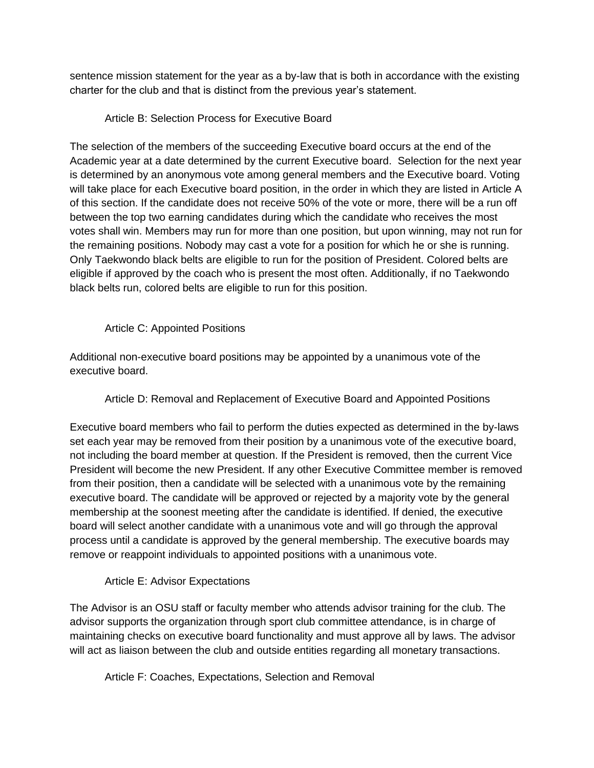sentence mission statement for the year as a by-law that is both in accordance with the existing charter for the club and that is distinct from the previous year's statement.

### Article B: Selection Process for Executive Board

The selection of the members of the succeeding Executive board occurs at the end of the Academic year at a date determined by the current Executive board. Selection for the next year is determined by an anonymous vote among general members and the Executive board. Voting will take place for each Executive board position, in the order in which they are listed in Article A of this section. If the candidate does not receive 50% of the vote or more, there will be a run off between the top two earning candidates during which the candidate who receives the most votes shall win. Members may run for more than one position, but upon winning, may not run for the remaining positions. Nobody may cast a vote for a position for which he or she is running. Only Taekwondo black belts are eligible to run for the position of President. Colored belts are eligible if approved by the coach who is present the most often. Additionally, if no Taekwondo black belts run, colored belts are eligible to run for this position.

#### Article C: Appointed Positions

Additional non-executive board positions may be appointed by a unanimous vote of the executive board.

Article D: Removal and Replacement of Executive Board and Appointed Positions

Executive board members who fail to perform the duties expected as determined in the by-laws set each year may be removed from their position by a unanimous vote of the executive board, not including the board member at question. If the President is removed, then the current Vice President will become the new President. If any other Executive Committee member is removed from their position, then a candidate will be selected with a unanimous vote by the remaining executive board. The candidate will be approved or rejected by a majority vote by the general membership at the soonest meeting after the candidate is identified. If denied, the executive board will select another candidate with a unanimous vote and will go through the approval process until a candidate is approved by the general membership. The executive boards may remove or reappoint individuals to appointed positions with a unanimous vote.

### Article E: Advisor Expectations

The Advisor is an OSU staff or faculty member who attends advisor training for the club. The advisor supports the organization through sport club committee attendance, is in charge of maintaining checks on executive board functionality and must approve all by laws. The advisor will act as liaison between the club and outside entities regarding all monetary transactions.

Article F: Coaches, Expectations, Selection and Removal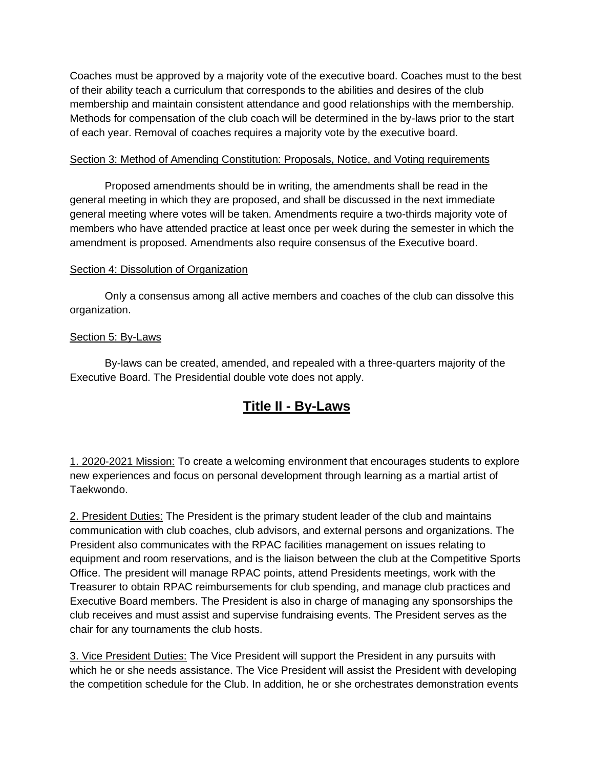Coaches must be approved by a majority vote of the executive board. Coaches must to the best of their ability teach a curriculum that corresponds to the abilities and desires of the club membership and maintain consistent attendance and good relationships with the membership. Methods for compensation of the club coach will be determined in the by-laws prior to the start of each year. Removal of coaches requires a majority vote by the executive board.

#### Section 3: Method of Amending Constitution: Proposals, Notice, and Voting requirements

 Proposed amendments should be in writing, the amendments shall be read in the general meeting in which they are proposed, and shall be discussed in the next immediate general meeting where votes will be taken. Amendments require a two-thirds majority vote of members who have attended practice at least once per week during the semester in which the amendment is proposed. Amendments also require consensus of the Executive board.

#### Section 4: Dissolution of Organization

 Only a consensus among all active members and coaches of the club can dissolve this organization.

#### Section 5: By-Laws

 By-laws can be created, amended, and repealed with a three-quarters majority of the Executive Board. The Presidential double vote does not apply.

## **Title II - By-Laws**

1. 2020-2021 Mission: To create a welcoming environment that encourages students to explore new experiences and focus on personal development through learning as a martial artist of Taekwondo.

2. President Duties: The President is the primary student leader of the club and maintains communication with club coaches, club advisors, and external persons and organizations. The President also communicates with the RPAC facilities management on issues relating to equipment and room reservations, and is the liaison between the club at the Competitive Sports Office. The president will manage RPAC points, attend Presidents meetings, work with the Treasurer to obtain RPAC reimbursements for club spending, and manage club practices and Executive Board members. The President is also in charge of managing any sponsorships the club receives and must assist and supervise fundraising events. The President serves as the chair for any tournaments the club hosts.

3. Vice President Duties: The Vice President will support the President in any pursuits with which he or she needs assistance. The Vice President will assist the President with developing the competition schedule for the Club. In addition, he or she orchestrates demonstration events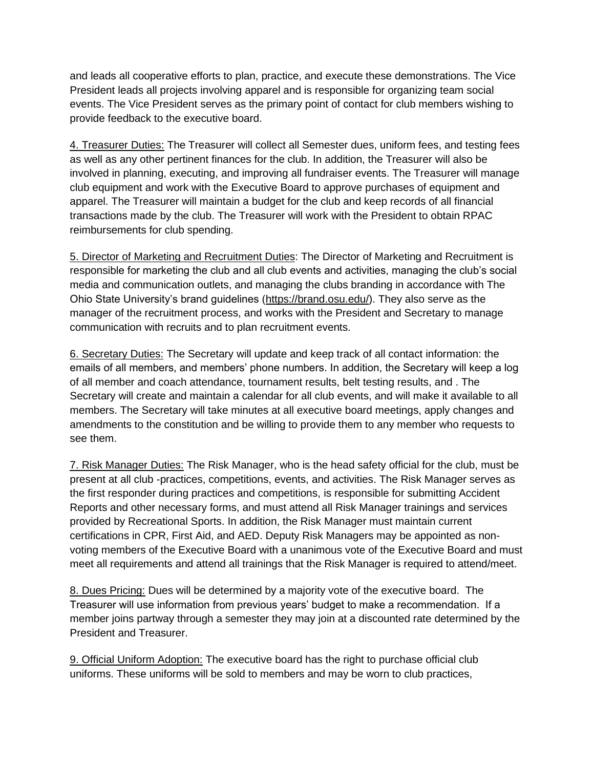and leads all cooperative efforts to plan, practice, and execute these demonstrations. The Vice President leads all projects involving apparel and is responsible for organizing team social events. The Vice President serves as the primary point of contact for club members wishing to provide feedback to the executive board.

4. Treasurer Duties: The Treasurer will collect all Semester dues, uniform fees, and testing fees as well as any other pertinent finances for the club. In addition, the Treasurer will also be involved in planning, executing, and improving all fundraiser events. The Treasurer will manage club equipment and work with the Executive Board to approve purchases of equipment and apparel. The Treasurer will maintain a budget for the club and keep records of all financial transactions made by the club. The Treasurer will work with the President to obtain RPAC reimbursements for club spending.

5. Director of Marketing and Recruitment Duties: The Director of Marketing and Recruitment is responsible for marketing the club and all club events and activities, managing the club's social media and communication outlets, and managing the clubs branding in accordance with The Ohio State University's brand guidelines [\(https://brand.osu.edu/\)](https://brand.osu.edu/). They also serve as the manager of the recruitment process, and works with the President and Secretary to manage communication with recruits and to plan recruitment events.

6. Secretary Duties: The Secretary will update and keep track of all contact information: the emails of all members, and members' phone numbers. In addition, the Secretary will keep a log of all member and coach attendance, tournament results, belt testing results, and . The Secretary will create and maintain a calendar for all club events, and will make it available to all members. The Secretary will take minutes at all executive board meetings, apply changes and amendments to the constitution and be willing to provide them to any member who requests to see them.

7. Risk Manager Duties: The Risk Manager, who is the head safety official for the club, must be present at all club -practices, competitions, events, and activities. The Risk Manager serves as the first responder during practices and competitions, is responsible for submitting Accident Reports and other necessary forms, and must attend all Risk Manager trainings and services provided by Recreational Sports. In addition, the Risk Manager must maintain current certifications in CPR, First Aid, and AED. Deputy Risk Managers may be appointed as nonvoting members of the Executive Board with a unanimous vote of the Executive Board and must meet all requirements and attend all trainings that the Risk Manager is required to attend/meet.

8. Dues Pricing: Dues will be determined by a majority vote of the executive board. The Treasurer will use information from previous years' budget to make a recommendation. If a member joins partway through a semester they may join at a discounted rate determined by the President and Treasurer.

9. Official Uniform Adoption: The executive board has the right to purchase official club uniforms. These uniforms will be sold to members and may be worn to club practices,